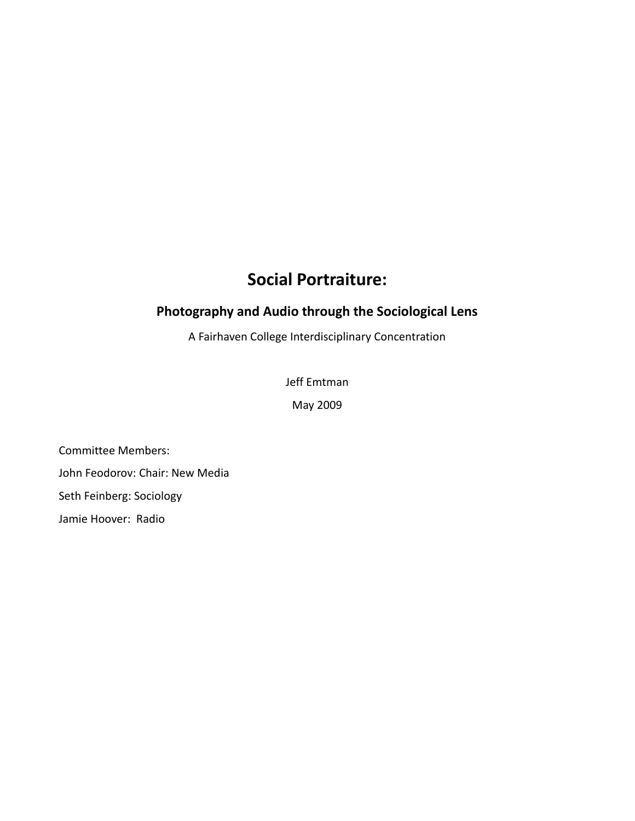# **Social Portraiture:**

## **Photography and Audio through the Sociological Lens**

A Fairhaven College Interdisciplinary Concentration

Jeff Emtman

May 2009

Committee Members: John Feodorov: Chair: New Media Seth Feinberg: Sociology Jamie Hoover: Radio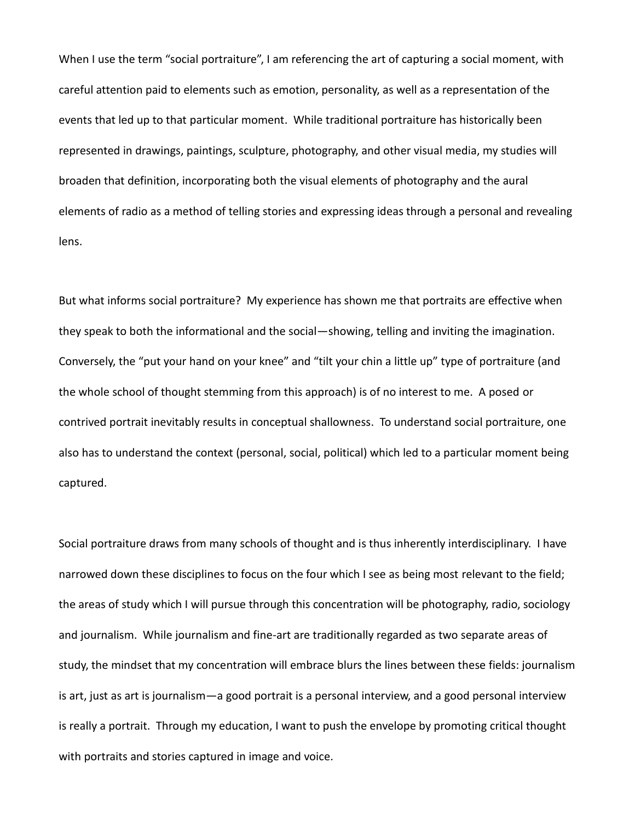When I use the term "social portraiture", I am referencing the art of capturing a social moment, with careful attention paid to elements such as emotion, personality, as well as a representation of the events that led up to that particular moment. While traditional portraiture has historically been represented in drawings, paintings, sculpture, photography, and other visual media, my studies will broaden that definition, incorporating both the visual elements of photography and the aural elements of radio as a method of telling stories and expressing ideas through a personal and revealing lens.

But what informs social portraiture? My experience has shown me that portraits are effective when they speak to both the informational and the social—showing, telling and inviting the imagination. Conversely, the "put your hand on your knee" and "tilt your chin a little up" type of portraiture (and the whole school of thought stemming from this approach) is of no interest to me. A posed or contrived portrait inevitably results in conceptual shallowness. To understand social portraiture, one also has to understand the context (personal, social, political) which led to a particular moment being captured.

Social portraiture draws from many schools of thought and is thus inherently interdisciplinary. I have narrowed down these disciplines to focus on the four which I see as being most relevant to the field; the areas of study which I will pursue through this concentration will be photography, radio, sociology and journalism. While journalism and fine-art are traditionally regarded as two separate areas of study, the mindset that my concentration will embrace blurs the lines between these fields: journalism is art, just as art is journalism—a good portrait is a personal interview, and a good personal interview is really a portrait. Through my education, I want to push the envelope by promoting critical thought with portraits and stories captured in image and voice.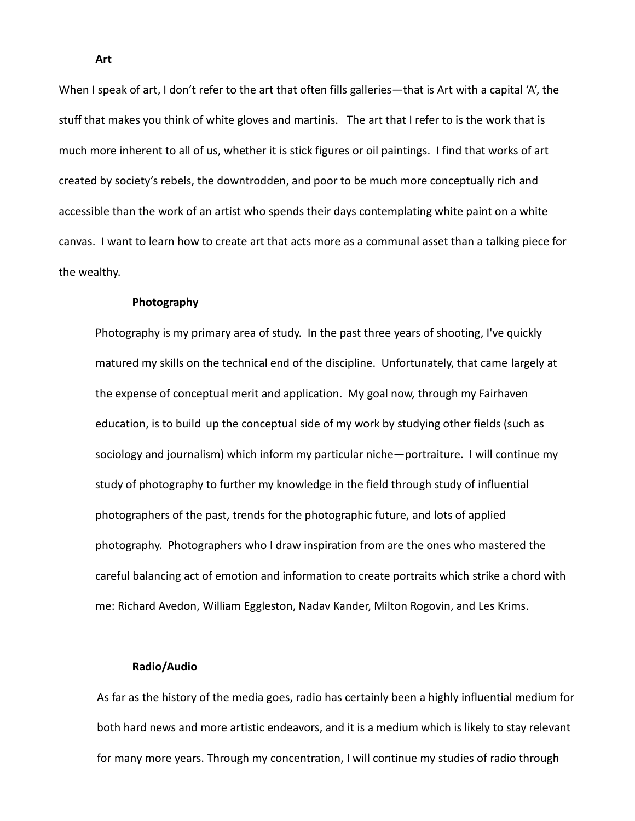When I speak of art, I don't refer to the art that often fills galleries—that is Art with a capital 'A', the stuff that makes you think of white gloves and martinis. The art that I refer to is the work that is much more inherent to all of us, whether it is stick figures or oil paintings. I find that works of art created by society's rebels, the downtrodden, and poor to be much more conceptually rich and accessible than the work of an artist who spends their days contemplating white paint on a white canvas. I want to learn how to create art that acts more as a communal asset than a talking piece for the wealthy.

#### **Photography**

Photography is my primary area of study. In the past three years of shooting, I've quickly matured my skills on the technical end of the discipline. Unfortunately, that came largely at the expense of conceptual merit and application. My goal now, through my Fairhaven education, is to build up the conceptual side of my work by studying other fields (such as sociology and journalism) which inform my particular niche—portraiture. I will continue my study of photography to further my knowledge in the field through study of influential photographers of the past, trends for the photographic future, and lots of applied photography. Photographers who I draw inspiration from are the ones who mastered the careful balancing act of emotion and information to create portraits which strike a chord with me: Richard Avedon, William Eggleston, Nadav Kander, Milton Rogovin, and Les Krims.

#### **Radio/Audio**

As far as the history of the media goes, radio has certainly been a highly influential medium for both hard news and more artistic endeavors, and it is a medium which is likely to stay relevant for many more years. Through my concentration, I will continue my studies of radio through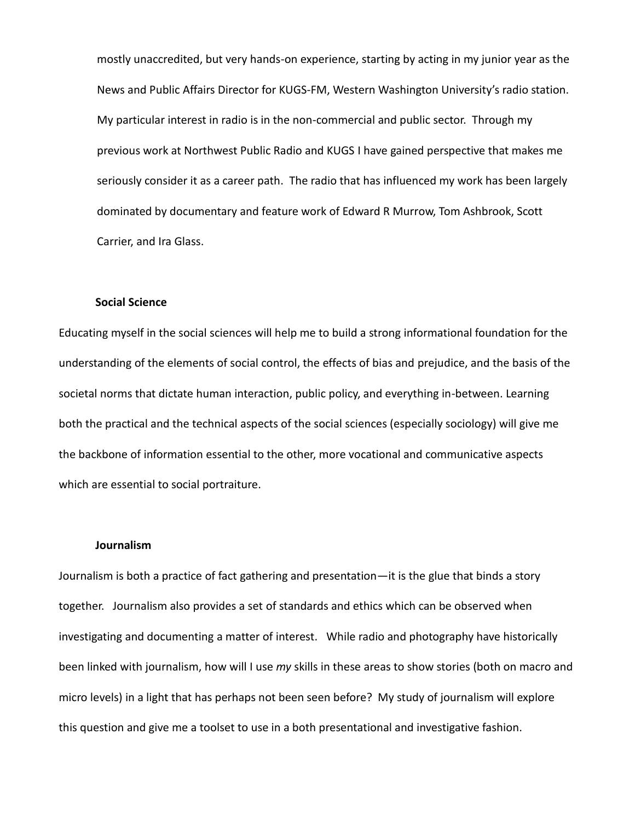mostly unaccredited, but very hands-on experience, starting by acting in my junior year as the News and Public Affairs Director for KUGS-FM, Western Washington University's radio station. My particular interest in radio is in the non-commercial and public sector. Through my previous work at Northwest Public Radio and KUGS I have gained perspective that makes me seriously consider it as a career path. The radio that has influenced my work has been largely dominated by documentary and feature work of Edward R Murrow, Tom Ashbrook, Scott Carrier, and Ira Glass.

#### **Social Science**

Educating myself in the social sciences will help me to build a strong informational foundation for the understanding of the elements of social control, the effects of bias and prejudice, and the basis of the societal norms that dictate human interaction, public policy, and everything in-between. Learning both the practical and the technical aspects of the social sciences (especially sociology) will give me the backbone of information essential to the other, more vocational and communicative aspects which are essential to social portraiture.

#### **Journalism**

Journalism is both a practice of fact gathering and presentation—it is the glue that binds a story together. Journalism also provides a set of standards and ethics which can be observed when investigating and documenting a matter of interest. While radio and photography have historically been linked with journalism, how will I use *my* skills in these areas to show stories (both on macro and micro levels) in a light that has perhaps not been seen before? My study of journalism will explore this question and give me a toolset to use in a both presentational and investigative fashion.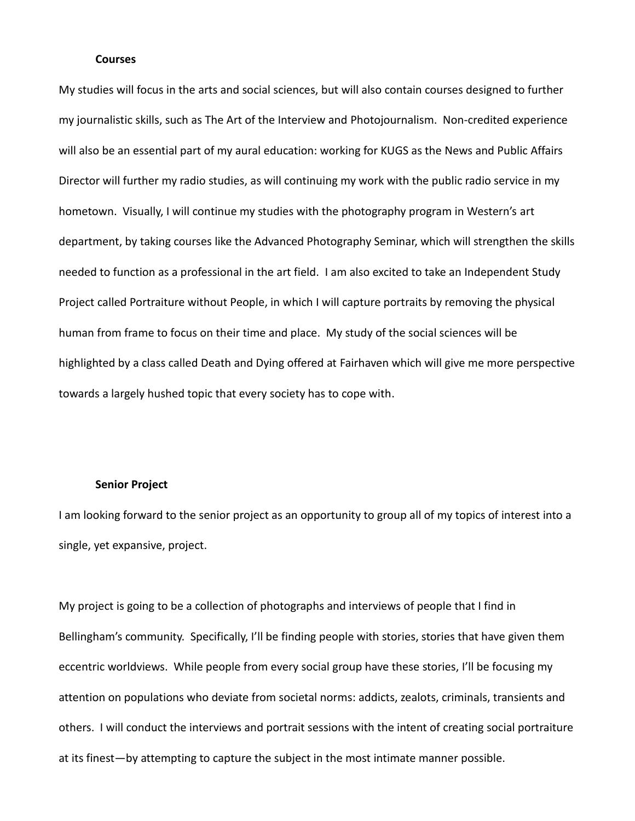#### **Courses**

My studies will focus in the arts and social sciences, but will also contain courses designed to further my journalistic skills, such as The Art of the Interview and Photojournalism. Non-credited experience will also be an essential part of my aural education: working for KUGS as the News and Public Affairs Director will further my radio studies, as will continuing my work with the public radio service in my hometown. Visually, I will continue my studies with the photography program in Western's art department, by taking courses like the Advanced Photography Seminar, which will strengthen the skills needed to function as a professional in the art field. I am also excited to take an Independent Study Project called Portraiture without People, in which I will capture portraits by removing the physical human from frame to focus on their time and place. My study of the social sciences will be highlighted by a class called Death and Dying offered at Fairhaven which will give me more perspective towards a largely hushed topic that every society has to cope with.

#### **Senior Project**

I am looking forward to the senior project as an opportunity to group all of my topics of interest into a single, yet expansive, project.

My project is going to be a collection of photographs and interviews of people that I find in Bellingham's community. Specifically, I'll be finding people with stories, stories that have given them eccentric worldviews. While people from every social group have these stories, I'll be focusing my attention on populations who deviate from societal norms: addicts, zealots, criminals, transients and others. I will conduct the interviews and portrait sessions with the intent of creating social portraiture at its finest—by attempting to capture the subject in the most intimate manner possible.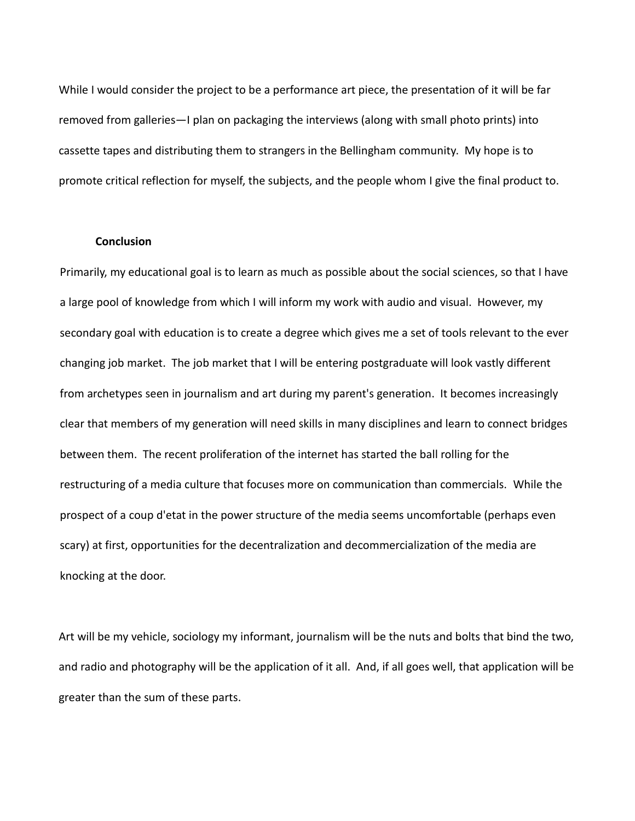While I would consider the project to be a performance art piece, the presentation of it will be far removed from galleries—I plan on packaging the interviews (along with small photo prints) into cassette tapes and distributing them to strangers in the Bellingham community. My hope is to promote critical reflection for myself, the subjects, and the people whom I give the final product to.

#### **Conclusion**

Primarily, my educational goal is to learn as much as possible about the social sciences, so that I have a large pool of knowledge from which I will inform my work with audio and visual. However, my secondary goal with education is to create a degree which gives me a set of tools relevant to the ever changing job market. The job market that I will be entering postgraduate will look vastly different from archetypes seen in journalism and art during my parent's generation. It becomes increasingly clear that members of my generation will need skills in many disciplines and learn to connect bridges between them. The recent proliferation of the internet has started the ball rolling for the restructuring of a media culture that focuses more on communication than commercials. While the prospect of a coup d'etat in the power structure of the media seems uncomfortable (perhaps even scary) at first, opportunities for the decentralization and decommercialization of the media are knocking at the door.

Art will be my vehicle, sociology my informant, journalism will be the nuts and bolts that bind the two, and radio and photography will be the application of it all. And, if all goes well, that application will be greater than the sum of these parts.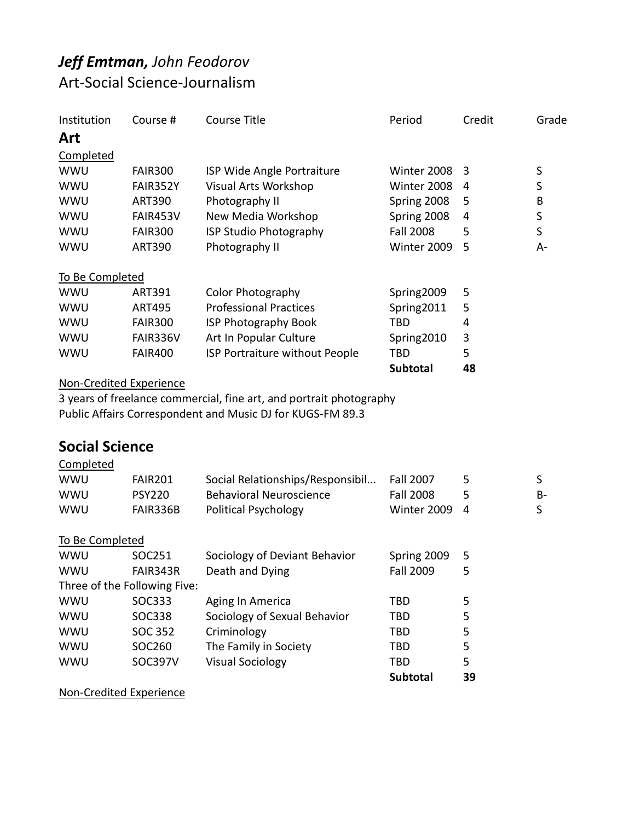# *Jeff Emtman, John Feodorov* Art-Social Science-Journalism

| Institution           | Course #                       | <b>Course Title</b>                                                 | Period           | Credit | Grade     |
|-----------------------|--------------------------------|---------------------------------------------------------------------|------------------|--------|-----------|
| Art                   |                                |                                                                     |                  |        |           |
| Completed             |                                |                                                                     |                  |        |           |
| <b>WWU</b>            | <b>FAIR300</b>                 | ISP Wide Angle Portraiture                                          | Winter 2008      | 3      | $\sf S$   |
| WWU                   | FAIR352Y                       | <b>Visual Arts Workshop</b>                                         | Winter 2008      | 4      | S         |
| WWU                   | <b>ART390</b>                  | Photography II                                                      | Spring 2008      | 5      | B         |
| WWU                   | FAIR453V                       | New Media Workshop                                                  | Spring 2008      | 4      | $\sf S$   |
| WWU                   | <b>FAIR300</b>                 | ISP Studio Photography                                              | <b>Fall 2008</b> | 5      | $\sf S$   |
| WWU                   | <b>ART390</b>                  | Photography II                                                      | Winter 2009      | 5      | A-        |
| To Be Completed       |                                |                                                                     |                  |        |           |
| WWU                   | <b>ART391</b>                  | Color Photography                                                   | Spring2009       | 5      |           |
| WWU                   | <b>ART495</b>                  | <b>Professional Practices</b>                                       | Spring2011       | 5      |           |
| WWU                   | <b>FAIR300</b>                 | <b>ISP Photography Book</b>                                         | <b>TBD</b>       | 4      |           |
| WWU                   | FAIR336V                       | Art In Popular Culture                                              | Spring2010       | 3      |           |
| WWU                   | <b>FAIR400</b>                 | ISP Portraiture without People                                      | <b>TBD</b>       | 5      |           |
|                       |                                |                                                                     | <b>Subtotal</b>  | 48     |           |
|                       | <b>Non-Credited Experience</b> |                                                                     |                  |        |           |
|                       |                                | 3 years of freelance commercial, fine art, and portrait photography |                  |        |           |
|                       |                                | Public Affairs Correspondent and Music DJ for KUGS-FM 89.3          |                  |        |           |
| <b>Social Science</b> |                                |                                                                     |                  |        |           |
| Completed             |                                |                                                                     |                  |        |           |
| WWU                   | <b>FAIR201</b>                 | Social Relationships/Responsibil                                    | <b>Fall 2007</b> | 5      | S         |
| WWU                   | <b>PSY220</b>                  | <b>Behavioral Neuroscience</b>                                      | <b>Fall 2008</b> | 5      | <b>B-</b> |
| WWU                   | FAIR336B                       | <b>Political Psychology</b>                                         | Winter 2009      | 4      | S         |
| To Be Completed       |                                |                                                                     |                  |        |           |
| WWU                   | SOC251                         | Sociology of Deviant Behavior                                       | Spring 2009      | 5      |           |
| <b>WWU</b>            | FAIR343R                       | Death and Dying                                                     | <b>Fall 2009</b> | 5      |           |
|                       | Three of the Following Five:   |                                                                     |                  |        |           |
| WWU                   | SOC333                         | Aging In America                                                    | <b>TBD</b>       | 5      |           |
| <b>WWU</b>            | SOC338                         | Sociology of Sexual Behavior                                        | <b>TBD</b>       | 5      |           |
| WWU                   | <b>SOC 352</b>                 | Criminology                                                         | <b>TBD</b>       | 5      |           |
| WWU                   | SOC260                         | The Family in Society                                               | <b>TBD</b>       | 5      |           |
| WWU                   | SOC397V                        | <b>Visual Sociology</b>                                             | <b>TBD</b>       | 5      |           |

**Subtotal 39**

Non-Credited Experience